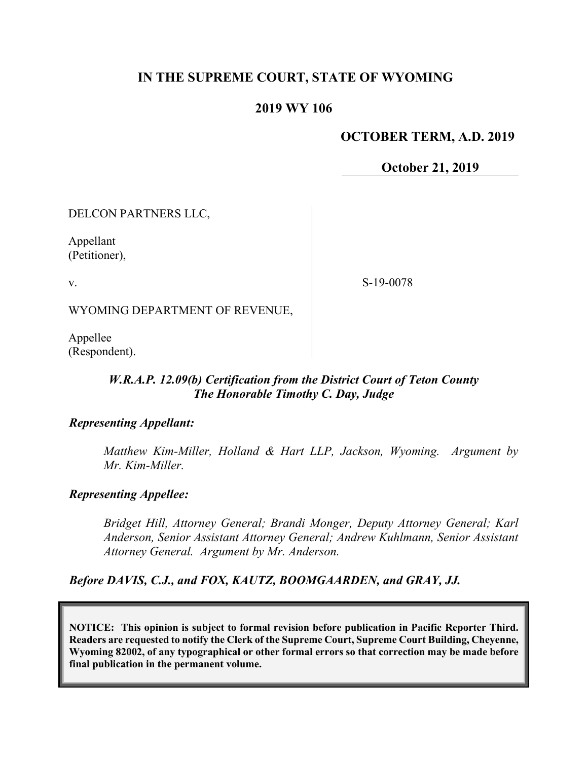# **IN THE SUPREME COURT, STATE OF WYOMING**

## **2019 WY 106**

## **OCTOBER TERM, A.D. 2019**

**October 21, 2019**

DELCON PARTNERS LLC,

Appellant (Petitioner),

v.

S-19-0078

WYOMING DEPARTMENT OF REVENUE,

Appellee (Respondent).

## *W.R.A.P. 12.09(b) Certification from the District Court of Teton County The Honorable Timothy C. Day, Judge*

## *Representing Appellant:*

*Matthew Kim-Miller, Holland & Hart LLP, Jackson, Wyoming. Argument by Mr. Kim-Miller.*

## *Representing Appellee:*

*Bridget Hill, Attorney General; Brandi Monger, Deputy Attorney General; Karl Anderson, Senior Assistant Attorney General; Andrew Kuhlmann, Senior Assistant Attorney General. Argument by Mr. Anderson.* 

*Before DAVIS, C.J., and FOX, KAUTZ, BOOMGAARDEN, and GRAY, JJ.*

**NOTICE: This opinion is subject to formal revision before publication in Pacific Reporter Third. Readers are requested to notify the Clerk of the Supreme Court, Supreme Court Building, Cheyenne, Wyoming 82002, of any typographical or other formal errors so that correction may be made before final publication in the permanent volume.**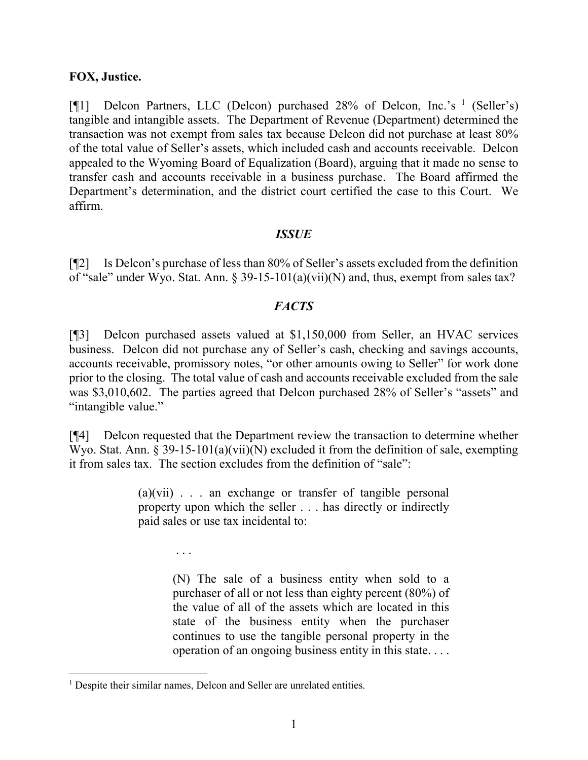#### **FOX, Justice.**

[ $\llbracket \cdot \rrbracket$ ] Delcon Partners, LLC (Delcon) purchased 28% of Delcon, Inc.'s <sup>[1](#page-1-0)</sup> (Seller's) tangible and intangible assets. The Department of Revenue (Department) determined the transaction was not exempt from sales tax because Delcon did not purchase at least 80% of the total value of Seller's assets, which included cash and accounts receivable. Delcon appealed to the Wyoming Board of Equalization (Board), arguing that it made no sense to transfer cash and accounts receivable in a business purchase. The Board affirmed the Department's determination, and the district court certified the case to this Court. We affirm.

#### *ISSUE*

[¶2] Is Delcon's purchase of less than 80% of Seller's assets excluded from the definition of "sale" under Wyo. Stat. Ann. § 39-15-101(a)(vii)(N) and, thus, exempt from sales tax?

## *FACTS*

[¶3] Delcon purchased assets valued at \$1,150,000 from Seller, an HVAC services business. Delcon did not purchase any of Seller's cash, checking and savings accounts, accounts receivable, promissory notes, "or other amounts owing to Seller" for work done prior to the closing. The total value of cash and accounts receivable excluded from the sale was \$3,010,602. The parties agreed that Delcon purchased 28% of Seller's "assets" and "intangible value."

[¶4] Delcon requested that the Department review the transaction to determine whether Wyo. Stat. Ann.  $\S 39-15-101(a)(vii)(N)$  excluded it from the definition of sale, exempting it from sales tax. The section excludes from the definition of "sale":

> $(a)(vii)$  . . . an exchange or transfer of tangible personal property upon which the seller . . . has directly or indirectly paid sales or use tax incidental to:

> > (N) The sale of a business entity when sold to a purchaser of all or not less than eighty percent (80%) of the value of all of the assets which are located in this state of the business entity when the purchaser continues to use the tangible personal property in the operation of an ongoing business entity in this state. . . .

. . .

<span id="page-1-0"></span><sup>&</sup>lt;sup>1</sup> Despite their similar names, Delcon and Seller are unrelated entities.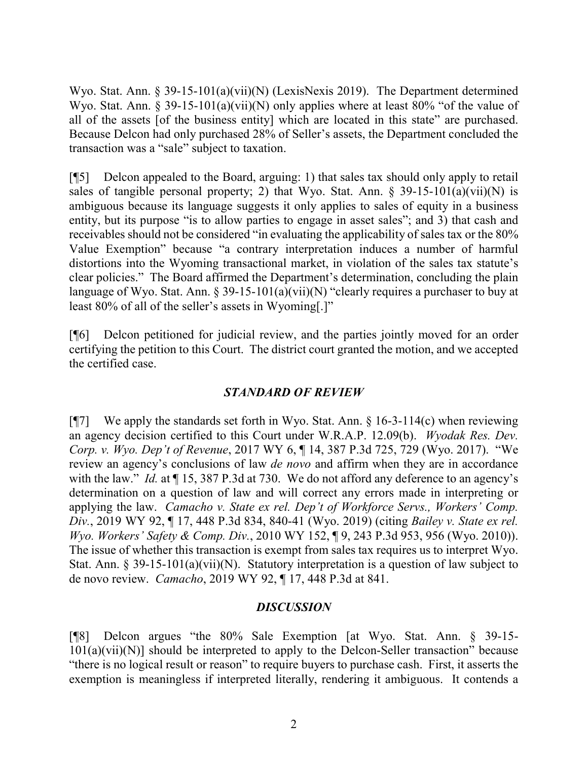Wyo. Stat. Ann. § 39-15-101(a)(vii)(N) (LexisNexis 2019). The Department determined Wyo. Stat. Ann. § 39-15-101(a)(vii)(N) only applies where at least 80% "of the value of all of the assets [of the business entity] which are located in this state" are purchased. Because Delcon had only purchased 28% of Seller's assets, the Department concluded the transaction was a "sale" subject to taxation.

[¶5] Delcon appealed to the Board, arguing: 1) that sales tax should only apply to retail sales of tangible personal property; 2) that Wyo. Stat. Ann.  $\S$  39-15-101(a)(vii)(N) is ambiguous because its language suggests it only applies to sales of equity in a business entity, but its purpose "is to allow parties to engage in asset sales"; and 3) that cash and receivables should not be considered "in evaluating the applicability of sales tax or the 80% Value Exemption" because "a contrary interpretation induces a number of harmful distortions into the Wyoming transactional market, in violation of the sales tax statute's clear policies." The Board affirmed the Department's determination, concluding the plain language of Wyo. Stat. Ann. § 39-15-101(a)(vii)(N) "clearly requires a purchaser to buy at least 80% of all of the seller's assets in Wyoming[.]"

[¶6] Delcon petitioned for judicial review, and the parties jointly moved for an order certifying the petition to this Court. The district court granted the motion, and we accepted the certified case.

# *STANDARD OF REVIEW*

[ $\sqrt{97}$ ] We apply the standards set forth in Wyo. Stat. Ann. § 16-3-114(c) when reviewing an agency decision certified to this Court under W.R.A.P. 12.09(b). *Wyodak Res. Dev. Corp. v. Wyo. Dep't of Revenue*, 2017 WY 6, ¶ 14, 387 P.3d 725, 729 (Wyo. 2017). "We review an agency's conclusions of law *de novo* and affirm when they are in accordance with the law." *Id.* at  $\P$  15, 387 P.3d at 730. We do not afford any deference to an agency's determination on a question of law and will correct any errors made in interpreting or applying the law. *Camacho v. State ex rel. Dep't of Workforce Servs., Workers' Comp. Div.*, 2019 WY 92, ¶ 17, 448 P.3d 834, 840-41 (Wyo. 2019) (citing *Bailey v. State ex rel. Wyo. Workers' Safety & Comp. Div.*, 2010 WY 152, ¶ 9, 243 P.3d 953, 956 (Wyo. 2010)). The issue of whether this transaction is exempt from sales tax requires us to interpret Wyo. Stat. Ann. § 39-15-101(a)(vii)(N). Statutory interpretation is a question of law subject to de novo review. *Camacho*, 2019 WY 92, ¶ 17, 448 P.3d at 841.

# *DISCUSSION*

[¶8] Delcon argues "the 80% Sale Exemption [at Wyo. Stat. Ann. § 39-15-  $101(a)(vii)(N)$ ] should be interpreted to apply to the Delcon-Seller transaction" because "there is no logical result or reason" to require buyers to purchase cash. First, it asserts the exemption is meaningless if interpreted literally, rendering it ambiguous. It contends a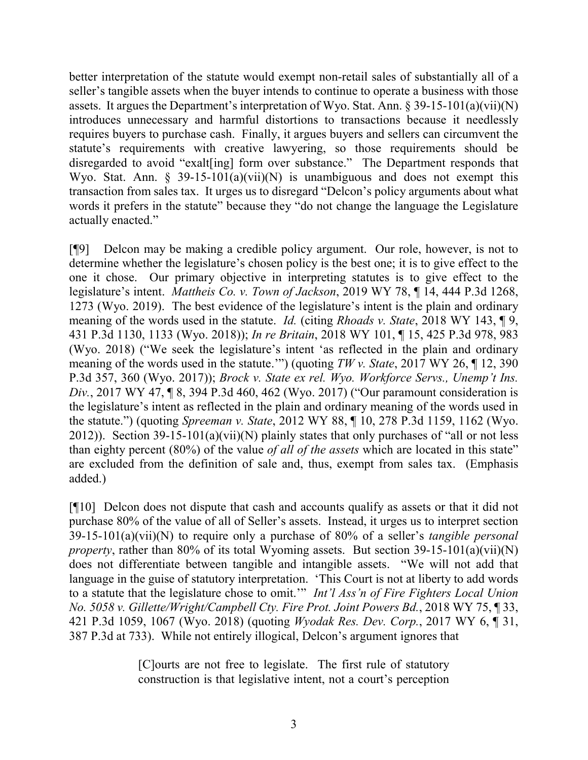better interpretation of the statute would exempt non-retail sales of substantially all of a seller's tangible assets when the buyer intends to continue to operate a business with those assets. It argues the Department's interpretation of Wyo. Stat. Ann. § 39-15-101(a)(vii)(N) introduces unnecessary and harmful distortions to transactions because it needlessly requires buyers to purchase cash. Finally, it argues buyers and sellers can circumvent the statute's requirements with creative lawyering, so those requirements should be disregarded to avoid "exalt[ing] form over substance." The Department responds that Wyo. Stat. Ann. § 39-15-101(a)(vii)(N) is unambiguous and does not exempt this transaction from sales tax. It urges us to disregard "Delcon's policy arguments about what words it prefers in the statute" because they "do not change the language the Legislature actually enacted."

[¶9] Delcon may be making a credible policy argument. Our role, however, is not to determine whether the legislature's chosen policy is the best one; it is to give effect to the one it chose. Our primary objective in interpreting statutes is to give effect to the legislature's intent. *Mattheis Co. v. Town of Jackson*, 2019 WY 78, ¶ 14, 444 P.3d 1268, 1273 (Wyo. 2019). The best evidence of the legislature's intent is the plain and ordinary meaning of the words used in the statute. *Id.* (citing *Rhoads v. State*, 2018 WY 143, ¶ 9, 431 P.3d 1130, 1133 (Wyo. 2018)); *In re Britain*, 2018 WY 101, ¶ 15, 425 P.3d 978, 983 (Wyo. 2018) ("We seek the legislature's intent 'as reflected in the plain and ordinary meaning of the words used in the statute.'") (quoting *TW v. State*, 2017 WY 26, ¶ 12, 390 P.3d 357, 360 (Wyo. 2017)); *Brock v. State ex rel. Wyo. Workforce Servs., Unemp't Ins. Div.*, 2017 WY 47, ¶ 8, 394 P.3d 460, 462 (Wyo. 2017) ("Our paramount consideration is the legislature's intent as reflected in the plain and ordinary meaning of the words used in the statute.") (quoting *Spreeman v. State*, 2012 WY 88, ¶ 10, 278 P.3d 1159, 1162 (Wyo. 2012)). Section 39-15-101(a)(vii)(N) plainly states that only purchases of "all or not less than eighty percent (80%) of the value *of all of the assets* which are located in this state" are excluded from the definition of sale and, thus, exempt from sales tax. (Emphasis added.)

[¶10] Delcon does not dispute that cash and accounts qualify as assets or that it did not purchase 80% of the value of all of Seller's assets. Instead, it urges us to interpret section 39-15-101(a)(vii)(N) to require only a purchase of 80% of a seller's *tangible personal property*, rather than 80% of its total Wyoming assets. But section 39-15-101(a)(vii)(N) does not differentiate between tangible and intangible assets. "We will not add that language in the guise of statutory interpretation. 'This Court is not at liberty to add words to a statute that the legislature chose to omit.'" *Int'l Ass'n of Fire Fighters Local Union No. 5058 v. Gillette/Wright/Campbell Cty. Fire Prot. Joint Powers Bd.*, 2018 WY 75, ¶ 33, 421 P.3d 1059, 1067 (Wyo. 2018) (quoting *Wyodak Res. Dev. Corp.*, 2017 WY 6, ¶ 31, 387 P.3d at 733). While not entirely illogical, Delcon's argument ignores that

> [C]ourts are not free to legislate. The first rule of statutory construction is that legislative intent, not a court's perception